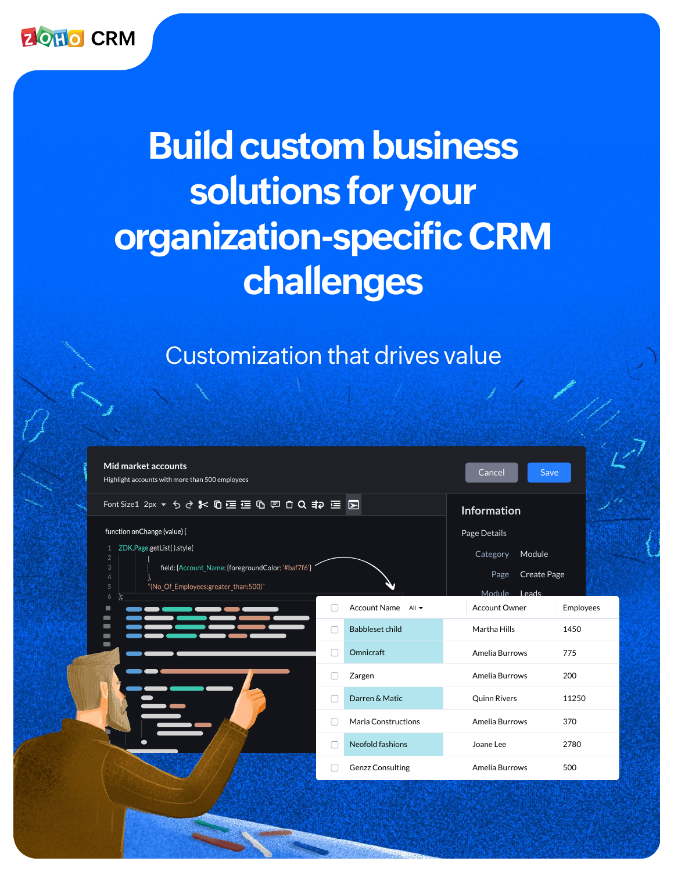

# **Build custom business solutions for your organization-specific CRM challenges**

### Customization that drives value

| Mid market accounts<br>Highlight accounts with more than 500 employees                            |  |                                                 | Save<br>Cancel       |           |
|---------------------------------------------------------------------------------------------------|--|-------------------------------------------------|----------------------|-----------|
| Font Size1 2px ▼ ちさま の空空の回口Q #2 三国                                                                |  |                                                 | <b>Information</b>   |           |
| function on Change (value) {                                                                      |  |                                                 | Page Details         |           |
| ZDK.Page.getList().style(<br>$\mathbf{1}$<br>$\overline{2}$                                       |  |                                                 | Module<br>Category   |           |
| $\ensuremath{\mathsf{3}}$<br>field: {Account_Name: {foregroundColor: '#baf7f6'}<br>$\overline{4}$ |  |                                                 | Create Page<br>Page  |           |
| $\sqrt{5}$<br>"(No_Of_Employees:greater_than:500)"<br>$\boldsymbol{6}$                            |  |                                                 | Module Leads         |           |
| ш<br>$\blacksquare$                                                                               |  | <b>Account Name</b><br>All $\blacktriangledown$ | <b>Account Owner</b> | Employees |
| $\blacksquare$<br>$\blacksquare$                                                                  |  | <b>Babbleset child</b>                          | Martha Hills         | 1450      |
| $\blacksquare$                                                                                    |  | Omnicraft                                       | Amelia Burrows       | 775       |
|                                                                                                   |  | Zargen                                          | Amelia Burrows       | 200       |
|                                                                                                   |  | Darren & Matic                                  | <b>Quinn Rivers</b>  | 11250     |
|                                                                                                   |  | Maria Constructions                             | Amelia Burrows       | 370       |
|                                                                                                   |  | Neofold fashions                                | Joane Lee            | 2780      |
|                                                                                                   |  | <b>Genzz Consulting</b>                         | Amelia Burrows       | 500       |
|                                                                                                   |  |                                                 |                      |           |
|                                                                                                   |  |                                                 |                      |           |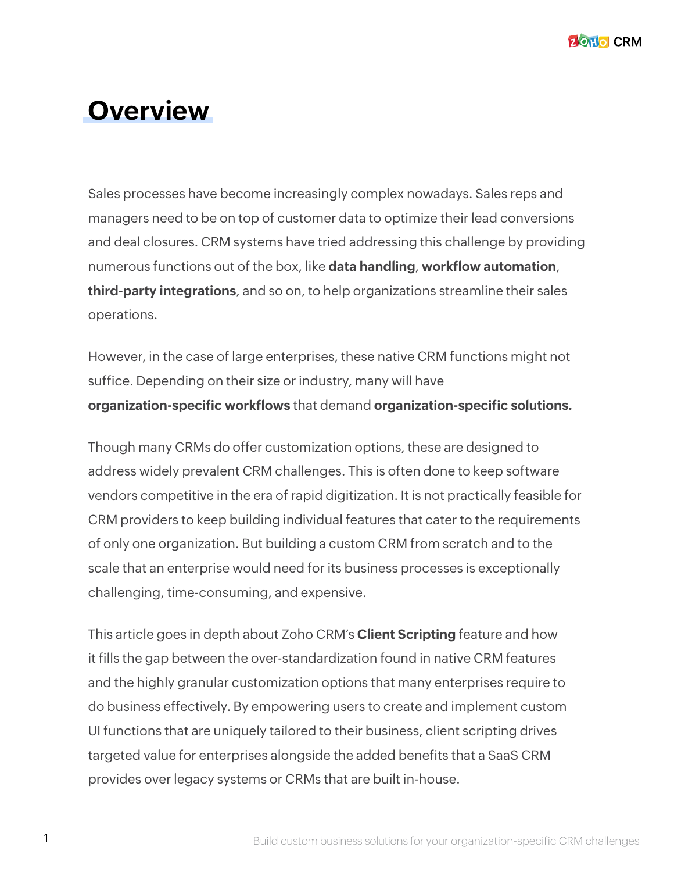### **Overview**

Sales processes have become increasingly complex nowadays. Sales reps and managers need to be on top of customer data to optimize their lead conversions and deal closures. CRM systems have tried addressing this challenge by providing numerous functions out of the box, like **data handling**, **workflow automation**, **third-party integrations**, and so on, to help organizations streamline their sales operations.

However, in the case of large enterprises, these native CRM functions might not suffice. Depending on their size or industry, many will have **organization-specific workflows** that demand **organization-specific solutions.**

Though many CRMs do offer customization options, these are designed to address widely prevalent CRM challenges. This is often done to keep software vendors competitive in the era of rapid digitization. It is not practically feasible for CRM providers to keep building individual features that cater to the requirements of only one organization. But building a custom CRM from scratch and to the scale that an enterprise would need for its business processes is exceptionally challenging, time-consuming, and expensive.

This article goes in depth about Zoho CRM's **Client Scripting** feature and how it fills the gap between the over-standardization found in native CRM features and the highly granular customization options that many enterprises require to do business effectively. By empowering users to create and implement custom UI functions that are uniquely tailored to their business, client scripting drives targeted value for enterprises alongside the added benefits that a SaaS CRM provides over legacy systems or CRMs that are built in-house.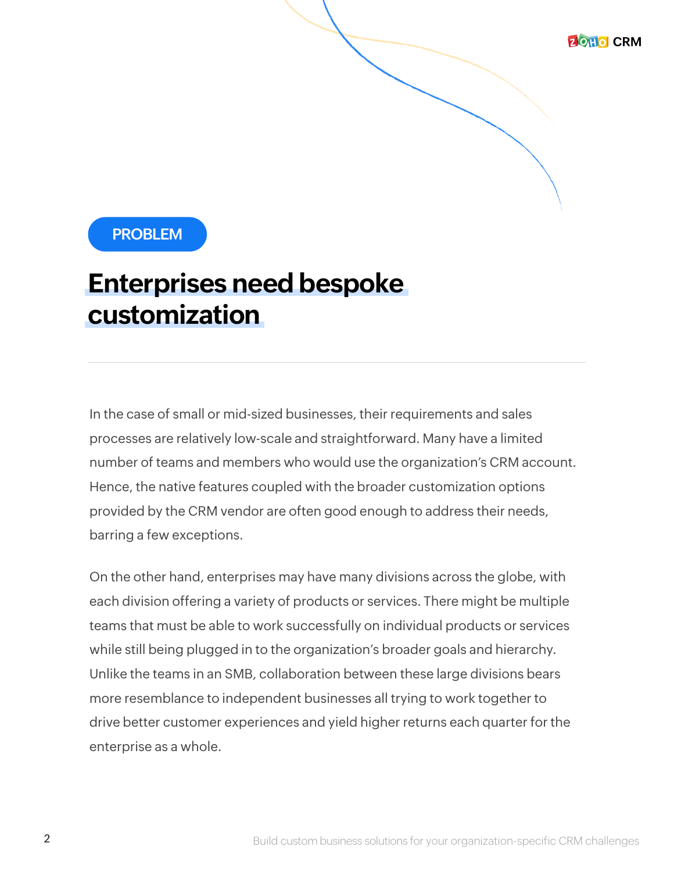

### **Enterprises need bespoke customization**

In the case of small or mid-sized businesses, their requirements and sales processes are relatively low-scale and straightforward. Many have a limited number of teams and members who would use the organization's CRM account. Hence, the native features coupled with the broader customization options provided by the CRM vendor are often good enough to address their needs, barring a few exceptions.

On the other hand, enterprises may have many divisions across the globe, with each division offering a variety of products or services. There might be multiple teams that must be able to work successfully on individual products or services while still being plugged in to the organization's broader goals and hierarchy. Unlike the teams in an SMB, collaboration between these large divisions bears more resemblance to independent businesses all trying to work together to drive better customer experiences and yield higher returns each quarter for the enterprise as a whole.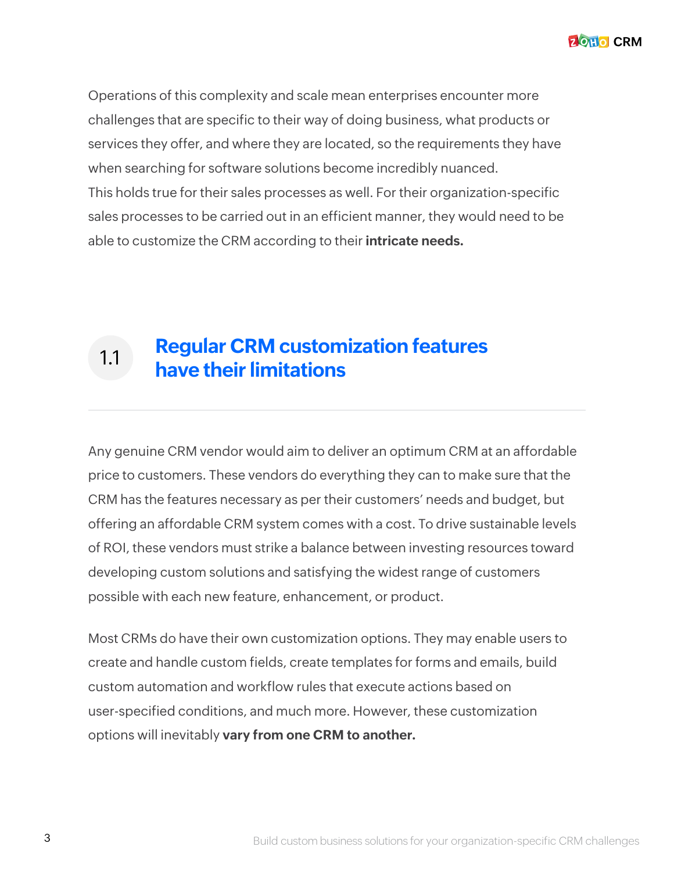**ZOHO CRM** 

Operations of this complexity and scale mean enterprises encounter more challenges that are specific to their way of doing business, what products or services they offer, and where they are located, so the requirements they have when searching for software solutions become incredibly nuanced. This holds true for their sales processes as well. For their organization-specific sales processes to be carried out in an efficient manner, they would need to be able to customize the CRM according to their **intricate needs.** 

#### 1.1 **Regular CRM customization features have their limitations**

Any genuine CRM vendor would aim to deliver an optimum CRM at an affordable price to customers. These vendors do everything they can to make sure that the CRM has the features necessary as per their customers' needs and budget, but offering an affordable CRM system comes with a cost. To drive sustainable levels of ROI, these vendors must strike a balance between investing resources toward developing custom solutions and satisfying the widest range of customers possible with each new feature, enhancement, or product.

Most CRMs do have their own customization options. They may enable users to create and handle custom fields, create templates for forms and emails, build custom automation and workflow rules that execute actions based on user-specified conditions, and much more. However, these customization options will inevitably **vary from one CRM to another.**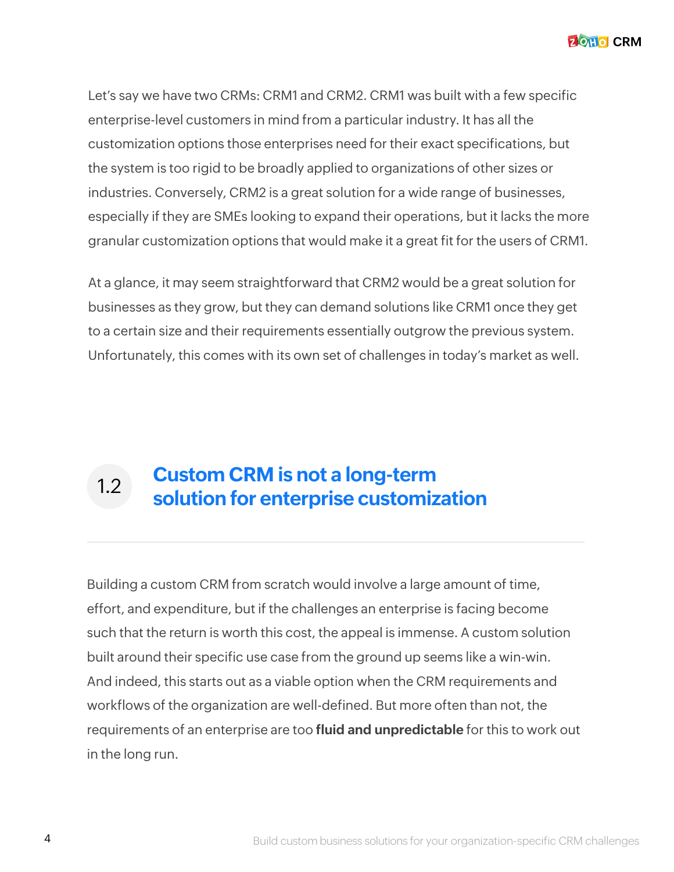Let's say we have two CRMs: CRM1 and CRM2. CRM1 was built with a few specific enterprise-level customers in mind from a particular industry. It has all the customization options those enterprises need for their exact specifications, but the system is too rigid to be broadly applied to organizations of other sizes or industries. Conversely, CRM2 is a great solution for a wide range of businesses, especially if they are SMEs looking to expand their operations, but it lacks the more granular customization options that would make it a great fit for the users of CRM1.

At a glance, it may seem straightforward that CRM2 would be a great solution for businesses as they grow, but they can demand solutions like CRM1 once they get to a certain size and their requirements essentially outgrow the previous system. Unfortunately, this comes with its own set of challenges in today's market as well.

#### **Custom CRM is not a long-term solution for enterprise customization** 1.2

Building a custom CRM from scratch would involve a large amount of time, effort, and expenditure, but if the challenges an enterprise is facing become such that the return is worth this cost, the appeal is immense. A custom solution built around their specific use case from the ground up seems like a win-win. And indeed, this starts out as a viable option when the CRM requirements and workflows of the organization are well-defined. But more often than not, the requirements of an enterprise are too **fluid and unpredictable** for this to work out in the long run.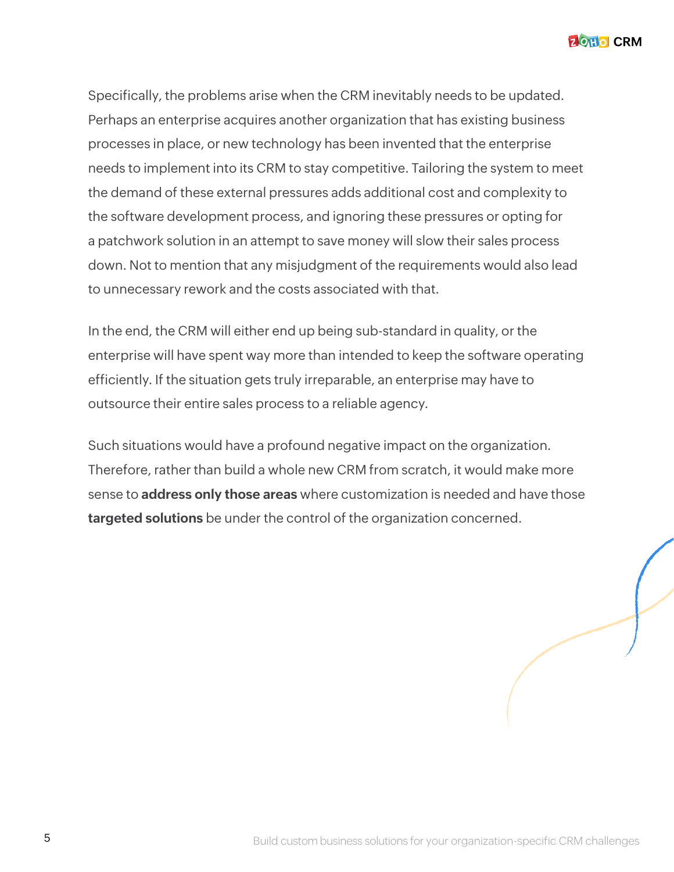**ZOHO CRM** 

Specifically, the problems arise when the CRM inevitably needs to be updated. Perhaps an enterprise acquires another organization that has existing business processes in place, or new technology has been invented that the enterprise needs to implement into its CRM to stay competitive. Tailoring the system to meet the demand of these external pressures adds additional cost and complexity to the software development process, and ignoring these pressures or opting for a patchwork solution in an attempt to save money will slow their sales process down. Not to mention that any misjudgment of the requirements would also lead to unnecessary rework and the costs associated with that.

In the end, the CRM will either end up being sub-standard in quality, or the enterprise will have spent way more than intended to keep the software operating efficiently. If the situation gets truly irreparable, an enterprise may have to outsource their entire sales process to a reliable agency.

Such situations would have a profound negative impact on the organization. Therefore, rather than build a whole new CRM from scratch, it would make more sense to **address only those areas** where customization is needed and have those **targeted solutions** be under the control of the organization concerned.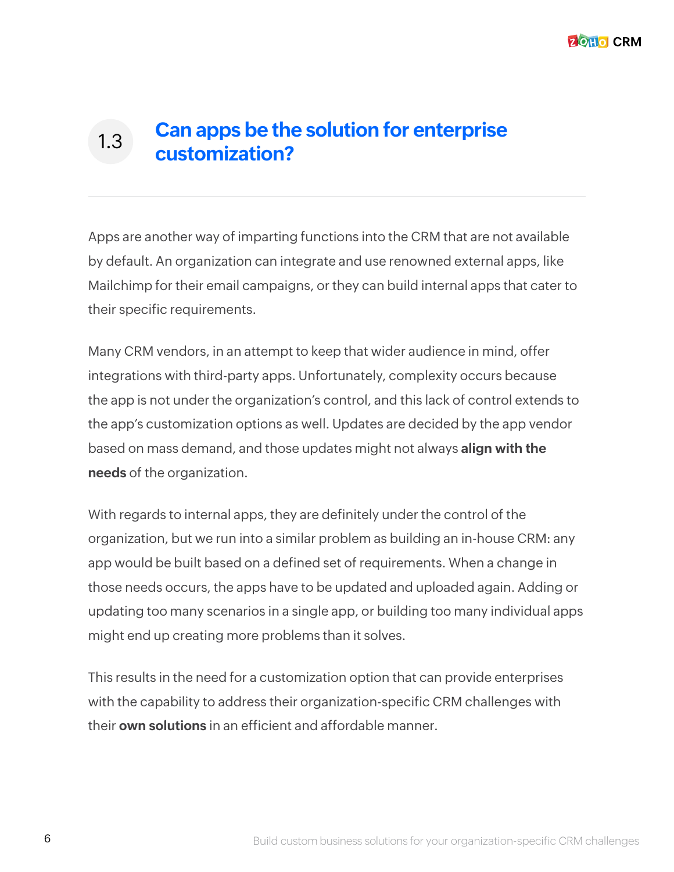#### **Can apps be the solution for enterprise customization?** 1.3

Apps are another way of imparting functions into the CRM that are not available by default. An organization can integrate and use renowned external apps, like Mailchimp for their email campaigns, or they can build internal apps that cater to their specific requirements.

Many CRM vendors, in an attempt to keep that wider audience in mind, offer integrations with third-party apps. Unfortunately, complexity occurs because the app is not under the organization's control, and this lack of control extends to the app's customization options as well. Updates are decided by the app vendor based on mass demand, and those updates might not always **align with the needs** of the organization.

With regards to internal apps, they are definitely under the control of the organization, but we run into a similar problem as building an in-house CRM: any app would be built based on a defined set of requirements. When a change in those needs occurs, the apps have to be updated and uploaded again. Adding or updating too many scenarios in a single app, or building too many individual apps might end up creating more problems than it solves.

This results in the need for a customization option that can provide enterprises with the capability to address their organization-specific CRM challenges with their **own solutions** in an efficient and affordable manner.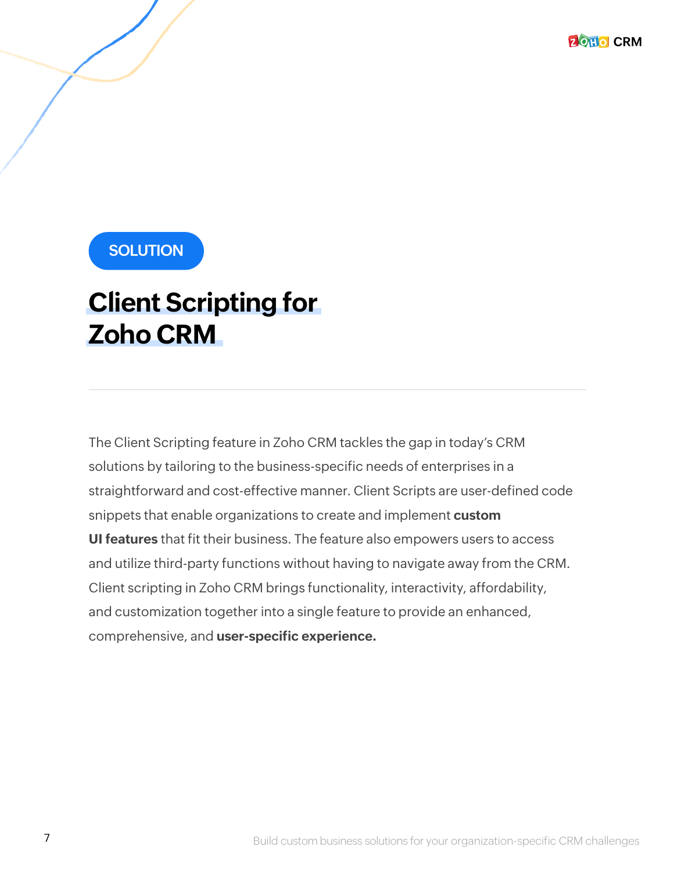### **SOLUTION**

### **Client Scripting for Zoho CRM**

The Client Scripting feature in Zoho CRM tackles the gap in today's CRM solutions by tailoring to the business-specific needs of enterprises in a straightforward and cost-effective manner. Client Scripts are user-defined code snippets that enable organizations to create and implement **custom UI features** that fit their business. The feature also empowers users to access and utilize third-party functions without having to navigate away from the CRM. Client scripting in Zoho CRM brings functionality, interactivity, affordability, and customization together into a single feature to provide an enhanced, comprehensive, and **user-specific experience.**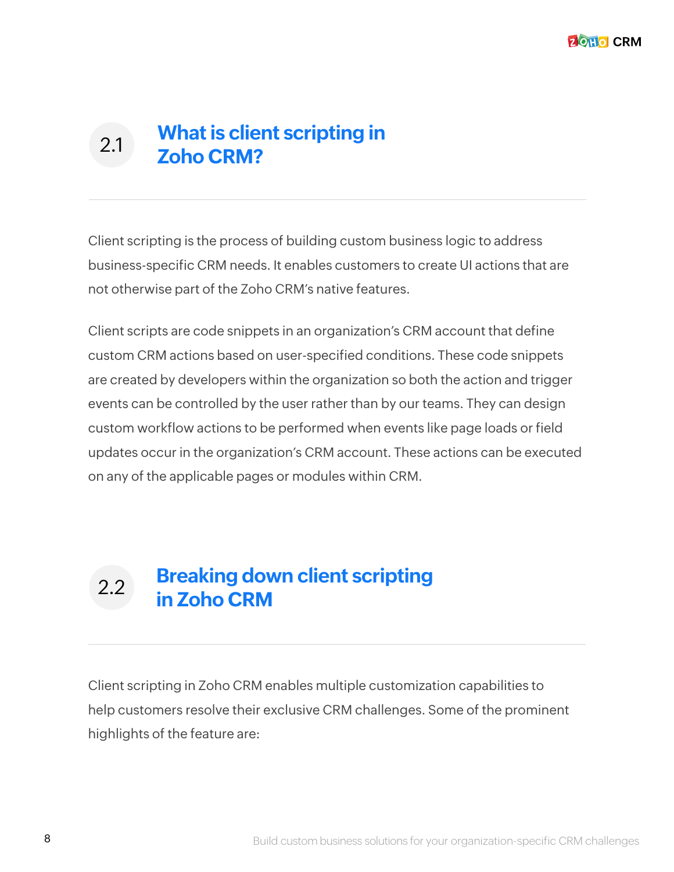#### **What is client scripting in Zoho CRM?** 2.1

Client scripting is the process of building custom business logic to address business-specific CRM needs. It enables customers to create UI actions that are not otherwise part of the Zoho CRM's native features.

Client scripts are code snippets in an organization's CRM account that define custom CRM actions based on user-specified conditions. These code snippets are created by developers within the organization so both the action and trigger events can be controlled by the user rather than by our teams. They can design custom workflow actions to be performed when events like page loads or field updates occur in the organization's CRM account. These actions can be executed on any of the applicable pages or modules within CRM.

#### **Breaking down client scripting in Zoho CRM** 2.2

Client scripting in Zoho CRM enables multiple customization capabilities to help customers resolve their exclusive CRM challenges. Some of the prominent highlights of the feature are: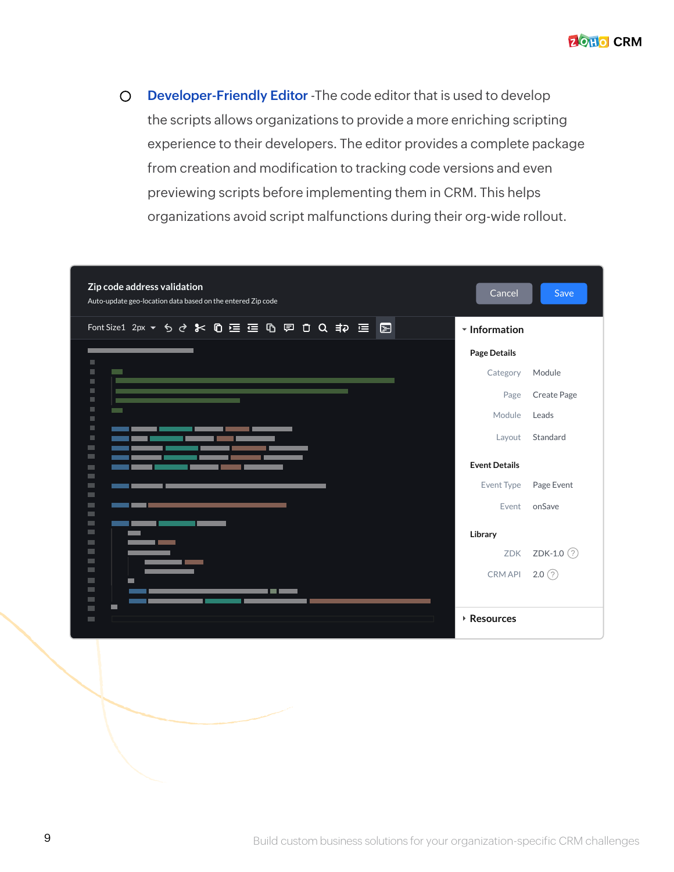

 $\circ$ **Developer-Friendly Editor** -The code editor that is used to develop the scripts allows organizations to provide a more enriching scripting experience to their developers. The editor provides a complete package from creation and modification to tracking code versions and even previewing scripts before implementing them in CRM. This helps organizations avoid script malfunctions during their org-wide rollout.

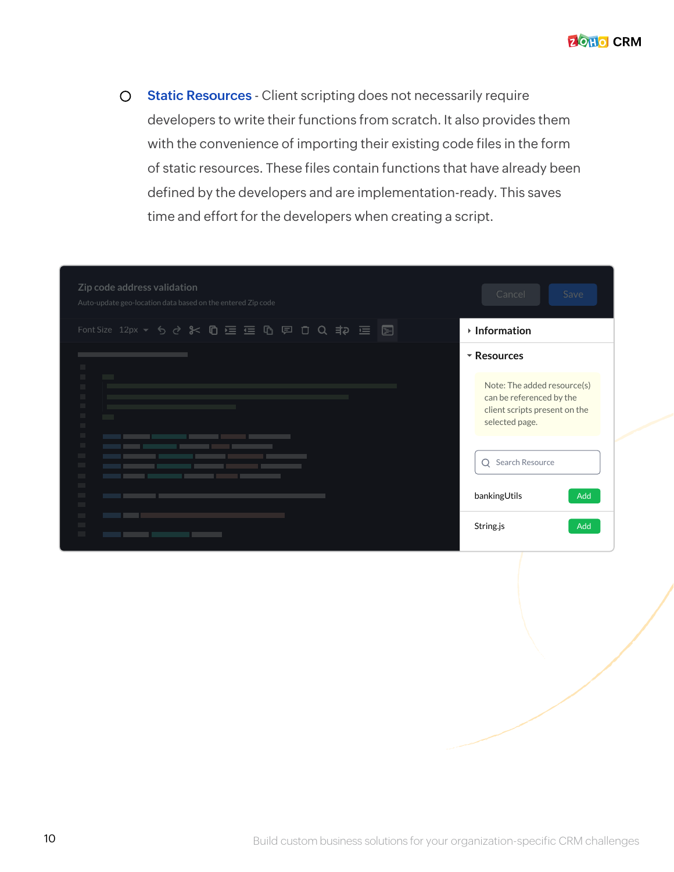**2 OHO CRM** 

**Static Resources** - Client scripting does not necessarily require  $\circ$ developers to write their functions from scratch. It also provides them with the convenience of importing their existing code files in the form of static resources. These files contain functions that have already been defined by the developers and are implementation-ready. This saves time and effort for the developers when creating a script.

| Zip code address validation<br>Auto-update geo-location data based on the entered Zip code | Cancel<br>Save                                                                                             |
|--------------------------------------------------------------------------------------------|------------------------------------------------------------------------------------------------------------|
| Font Size 12px ▼ 5 ♂ % © W N 三 G 回 口 Q # P 三 国                                             | ▸ Information                                                                                              |
| п                                                                                          | $\overline{\phantom{a}}$ Resources                                                                         |
| $\blacksquare$<br>$\mathbb{R}^n$<br>$\mathbb{R}^n$<br>п                                    | Note: The added resource(s)<br>can be referenced by the<br>client scripts present on the<br>selected page. |
| <b>The State</b><br><b>The Co</b>                                                          | Q Search Resource<br>bankingUtils<br>Add                                                                   |
|                                                                                            | Add<br>String.js                                                                                           |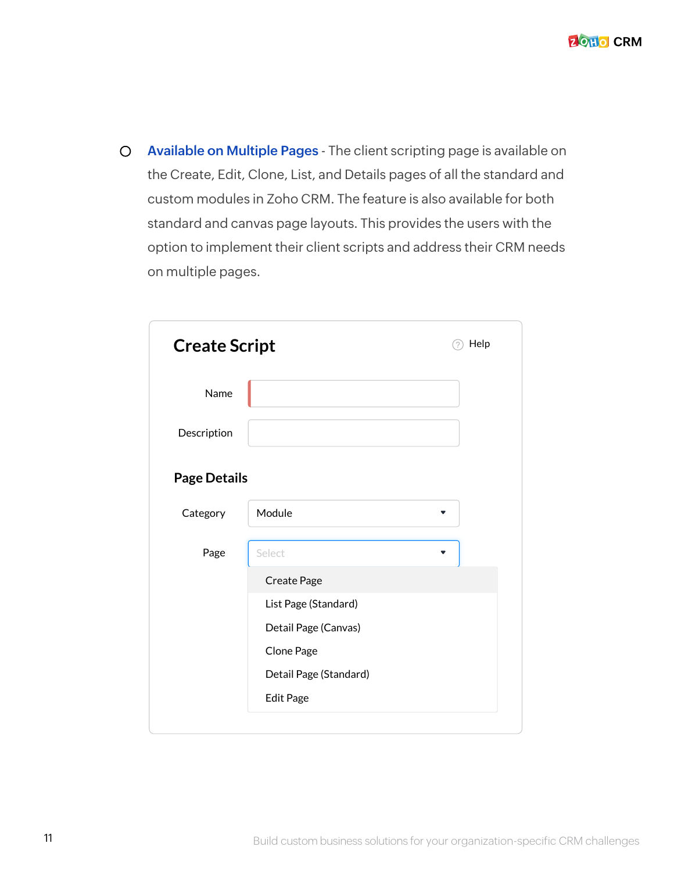**Available on Multiple Pages** - The client scripting page is available on  $\circ$ the Create, Edit, Clone, List, and Details pages of all the standard and custom modules in Zoho CRM. The feature is also available for both standard and canvas page layouts. This provides the users with the option to implement their client scripts and address their CRM needs on multiple pages.

| <b>Create Script</b> |                        | Help |
|----------------------|------------------------|------|
| Name                 |                        |      |
| Description          |                        |      |
| <b>Page Details</b>  |                        |      |
| Category             | Module                 | ▼    |
| Page                 | Select                 |      |
|                      | Create Page            |      |
|                      | List Page (Standard)   |      |
|                      | Detail Page (Canvas)   |      |
|                      | Clone Page             |      |
|                      | Detail Page (Standard) |      |
|                      | <b>Edit Page</b>       |      |
|                      |                        |      |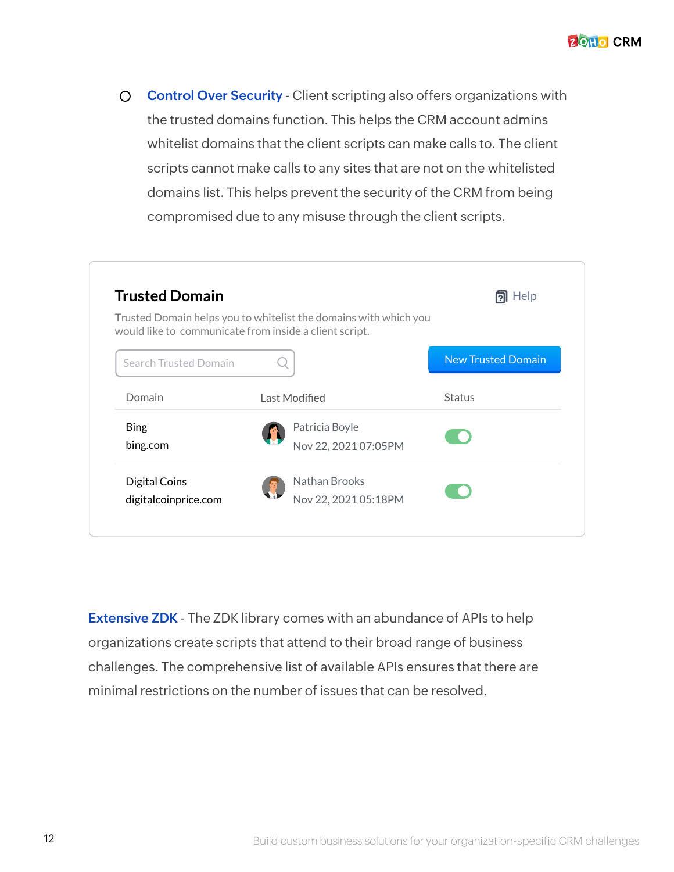$\bigcirc$ **Control Over Security** - Client scripting also offers organizations with the trusted domains function. This helps the CRM account admins whitelist domains that the client scripts can make calls to. The client scripts cannot make calls to any sites that are not on the whitelisted domains list. This helps prevent the security of the CRM from being compromised due to any misuse through the client scripts.



**Extensive ZDK** - The ZDK library comes with an abundance of APIs to help organizations create scripts that attend to their broad range of business challenges. The comprehensive list of available APIs ensures that there are minimal restrictions on the number of issues that can be resolved.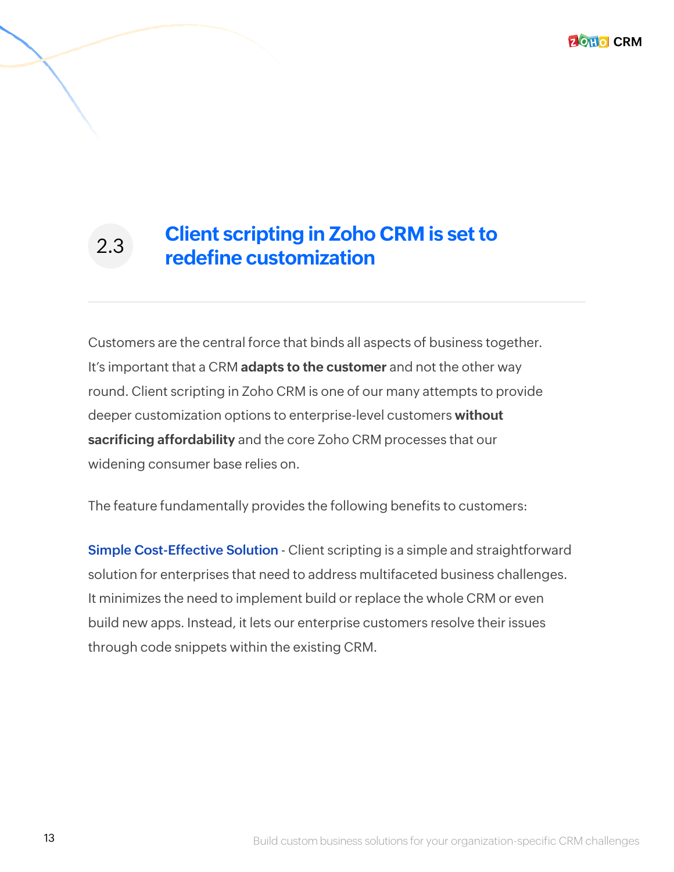**ZOHO CRM** 

#### **Client scripting in Zoho CRM is set to redefine customization** 2.3

Customers are the central force that binds all aspects of business together. It's important that a CRM **adapts to the customer** and not the other way round. Client scripting in Zoho CRM is one of our many attempts to provide deeper customization options to enterprise-level customers **without sacrificing affordability** and the core Zoho CRM processes that our widening consumer base relies on.

The feature fundamentally provides the following benefits to customers:

**Simple Cost-Effective Solution** - Client scripting is a simple and straightforward solution for enterprises that need to address multifaceted business challenges. It minimizes the need to implement build or replace the whole CRM or even build new apps. Instead, it lets our enterprise customers resolve their issues through code snippets within the existing CRM.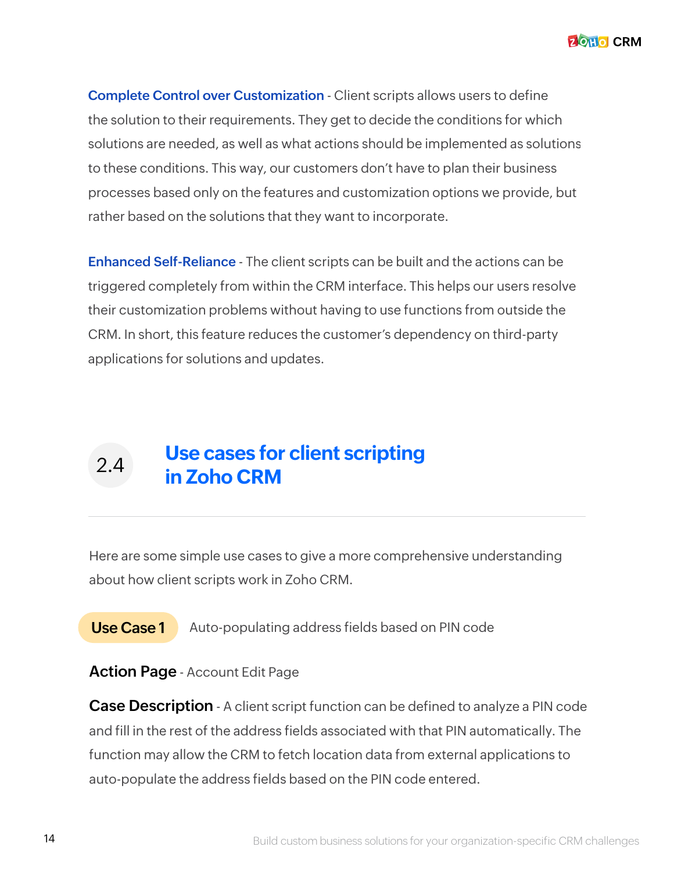**Complete Control over Customization** - Client scripts allows users to define the solution to their requirements. They get to decide the conditions for which solutions are needed, as well as what actions should be implemented as solutions to these conditions. This way, our customers don't have to plan their business processes based only on the features and customization options we provide, but rather based on the solutions that they want to incorporate.

**Enhanced Self-Reliance** - The client scripts can be built and the actions can be triggered completely from within the CRM interface. This helps our users resolve their customization problems without having to use functions from outside the CRM. In short, this feature reduces the customer's dependency on third-party applications for solutions and updates.

### **Use cases for client scripting in Zoho CRM** 2.4

Here are some simple use cases to give a more comprehensive understanding about how client scripts work in Zoho CRM.

**Use Case 1** Auto-populating address fields based on PIN code

**Action Page** - Account Edit Page

**Case Description** - A client script function can be defined to analyze a PIN code and fill in the rest of the address fields associated with that PIN automatically. The function may allow the CRM to fetch location data from external applications to auto-populate the address fields based on the PIN code entered.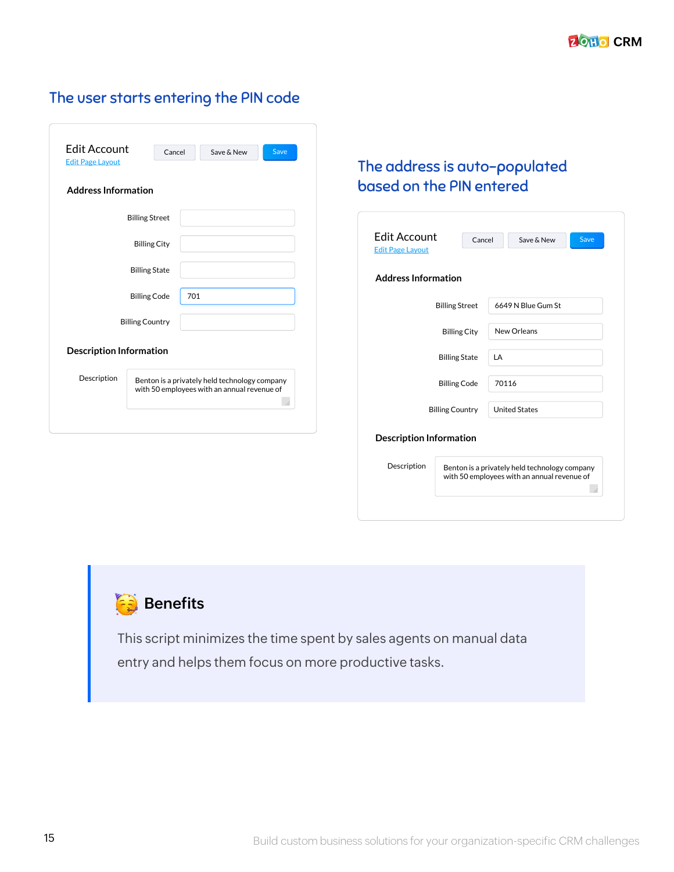#### The user starts entering the PIN code

| <b>Fdit Account</b><br><b>Edit Page Lavout</b> | Cancel                                                                                       |     | Save & New | Save |
|------------------------------------------------|----------------------------------------------------------------------------------------------|-----|------------|------|
| <b>Address Information</b>                     |                                                                                              |     |            |      |
|                                                | <b>Billing Street</b>                                                                        |     |            |      |
|                                                | <b>Billing City</b>                                                                          |     |            |      |
|                                                | <b>Billing State</b>                                                                         |     |            |      |
|                                                | <b>Billing Code</b>                                                                          | 701 |            |      |
|                                                | <b>Billing Country</b>                                                                       |     |            |      |
| <b>Description Information</b>                 |                                                                                              |     |            |      |
| Description                                    | Benton is a privately held technology company<br>with 50 employees with an annual revenue of |     |            |      |

#### The address is auto-populated based on the PIN entered

|                                                                                              |                                                                                                                                        | Save & New | Save                                                      |  |
|----------------------------------------------------------------------------------------------|----------------------------------------------------------------------------------------------------------------------------------------|------------|-----------------------------------------------------------|--|
|                                                                                              |                                                                                                                                        |            |                                                           |  |
|                                                                                              |                                                                                                                                        |            |                                                           |  |
| <b>Billing City</b>                                                                          |                                                                                                                                        |            |                                                           |  |
| <b>Billing State</b>                                                                         | LA                                                                                                                                     |            |                                                           |  |
| <b>Billing Code</b>                                                                          | 70116                                                                                                                                  |            |                                                           |  |
|                                                                                              |                                                                                                                                        |            |                                                           |  |
|                                                                                              |                                                                                                                                        |            |                                                           |  |
| Benton is a privately held technology company<br>with 50 employees with an annual revenue of |                                                                                                                                        |            |                                                           |  |
|                                                                                              | <b>Edit Account</b><br><b>Address Information</b><br><b>Billing Street</b><br><b>Billing Country</b><br><b>Description Information</b> | Cancel     | 6649 N Blue Gum St<br>New Orleans<br><b>United States</b> |  |



This script minimizes the time spent by sales agents on manual data entry and helps them focus on more productive tasks.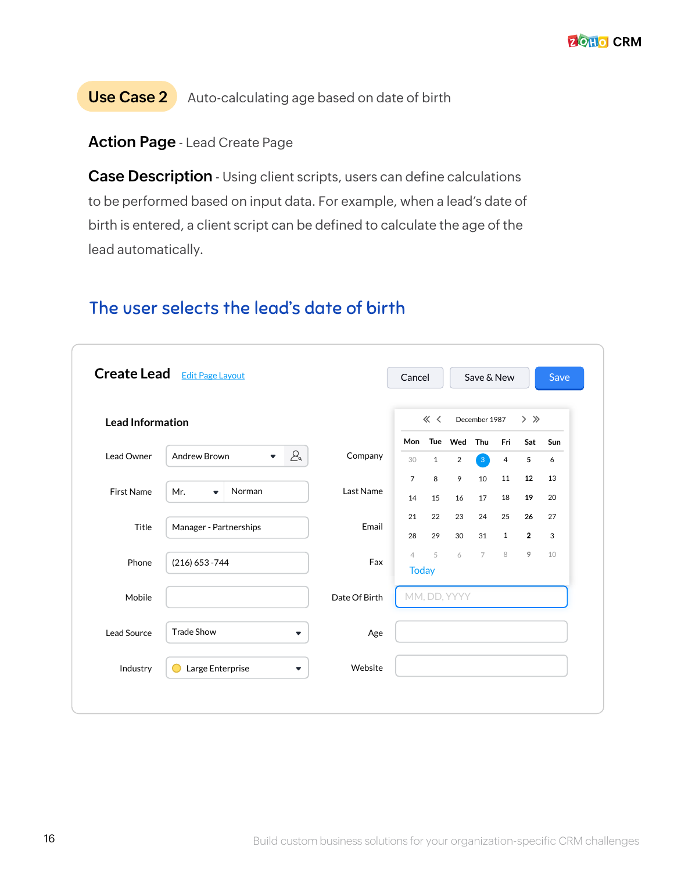**Use Case 2** Auto-calculating age based on date of birth

#### **Action Page** - Lead Create Page

**Case Description** - Using client scripts, users can define calculations to be performed based on input data. For example, when a lead's date of birth is entered, a client script can be defined to calculate the age of the lead automatically.

|                         | <b>Create Lead</b> Edit Page Layout                                          |               | Cancel                         |              |                           | Save & New            |                       |                | Save     |
|-------------------------|------------------------------------------------------------------------------|---------------|--------------------------------|--------------|---------------------------|-----------------------|-----------------------|----------------|----------|
| <b>Lead Information</b> |                                                                              |               |                                | $\ll$ $\lt$  |                           | December 1987         |                       | $>$ $\gg$      |          |
| Lead Owner              | 2 <sub>a</sub><br>Andrew Brown<br>$\overline{\mathbf{v}}$                    | Company       | Mon<br>30                      | $\mathbf{1}$ | Tue Wed<br>$\overline{2}$ | Thu<br>3 <sup>1</sup> | Fri<br>$\overline{4}$ | Sat<br>5       | Sun<br>6 |
|                         |                                                                              |               | $\overline{7}$                 | 8            | 9                         | 10                    | 11                    | 12             | 13       |
| <b>First Name</b>       | Norman<br>Mr.<br>$\overline{\mathbf{v}}$                                     | Last Name     | 14                             | 15           | 16                        | 17                    | 18                    | 19             | 20       |
| Title                   | Manager - Partnerships                                                       | Email         | 21                             | 22           | 23                        | 24                    | 25                    | 26             | 27       |
|                         |                                                                              |               | 28                             | 29           | 30                        | 31                    | $\mathbf{1}$          | $\overline{2}$ | 3        |
| Phone                   | $(216) 653 - 744$                                                            | Fax           | $\overline{4}$<br><b>Today</b> | 5            | 6                         | $\overline{7}$        | 8                     | 9              | 10       |
| Mobile                  |                                                                              | Date Of Birth |                                |              | MM, DD, YYYY              |                       |                       |                |          |
| Lead Source             | <b>Trade Show</b><br>▼                                                       | Age           |                                |              |                           |                       |                       |                |          |
| Industry                | Large Enterprise<br>$\blacktriangledown$<br>$\hspace{0.1in}(\hspace{0.1in})$ | Website       |                                |              |                           |                       |                       |                |          |

#### The user selects the lead's date of birth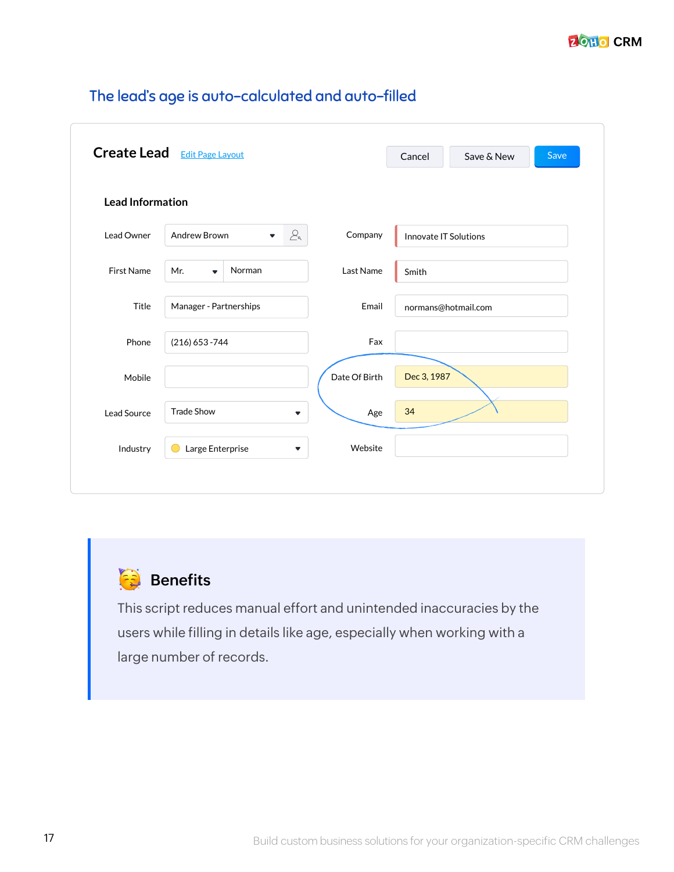|                         | <b>Create Lead</b> Edit Page Layout   |                                       | Cancel                | Save & New          | Save |
|-------------------------|---------------------------------------|---------------------------------------|-----------------------|---------------------|------|
|                         |                                       |                                       |                       |                     |      |
| <b>Lead Information</b> |                                       |                                       |                       |                     |      |
| Lead Owner              | Andrew Brown<br>$\blacktriangledown$  | $\mathcal{L}_{\mathsf{a}}$<br>Company | Innovate IT Solutions |                     |      |
| <b>First Name</b>       | Norman<br>Mr.<br>$\blacktriangledown$ | Last Name                             | Smith                 |                     |      |
| Title                   | Manager - Partnerships                | Email                                 |                       | normans@hotmail.com |      |
| Phone                   | $(216)$ 653 - 744                     | Fax                                   |                       |                     |      |
| Mobile                  |                                       | Date Of Birth                         | Dec 3, 1987           |                     |      |
| Lead Source             | <b>Trade Show</b>                     | Age<br>▼                              | 34                    |                     |      |
| Industry                | Large Enterprise                      | Website<br>$\blacktriangledown$       |                       |                     |      |

#### The lead's age is auto-calculated and auto-filled



This script reduces manual effort and unintended inaccuracies by the users while filling in details like age, especially when working with a large number of records.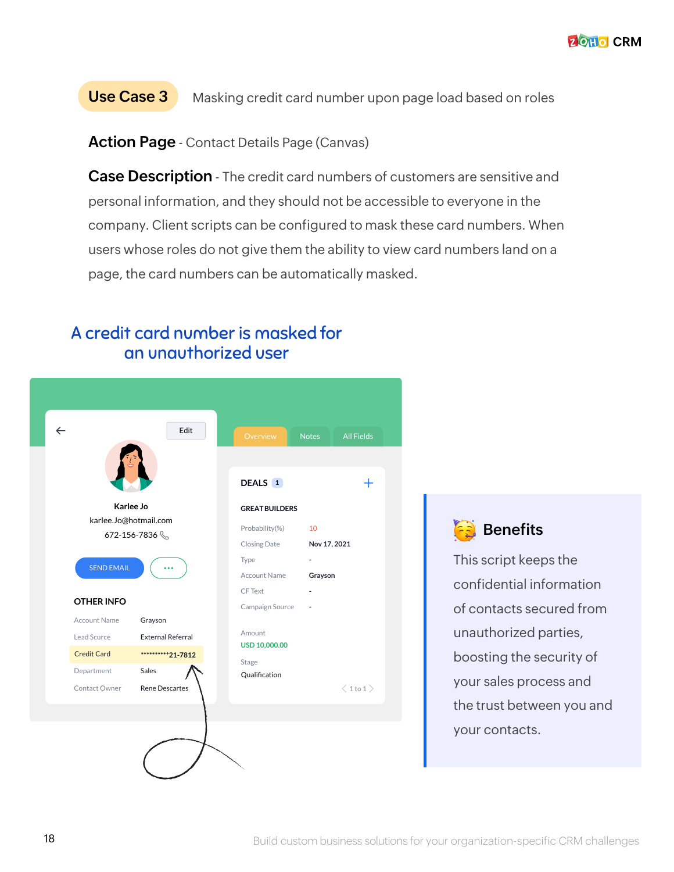This script keeps the

**Benefits** 

confidential information

of contacts secured from

unauthorized parties,

boosting the security of

your sales process and

your contacts.

the trust between you and

#### **Use Case 3** Masking credit card number upon page load based on roles

**Action Page** - Contact Details Page (Canvas)

**Case Description** - The credit card numbers of customers are sensitive and personal information, and they should not be accessible to everyone in the company. Client scripts can be configured to mask these card numbers. When users whose roles do not give them the ability to view card numbers land on a page, the card numbers can be automatically masked.

18 **18** Build custom business solutions for your organization-specific CRM challenges

#### A credit card number is masked for an unauthorized user

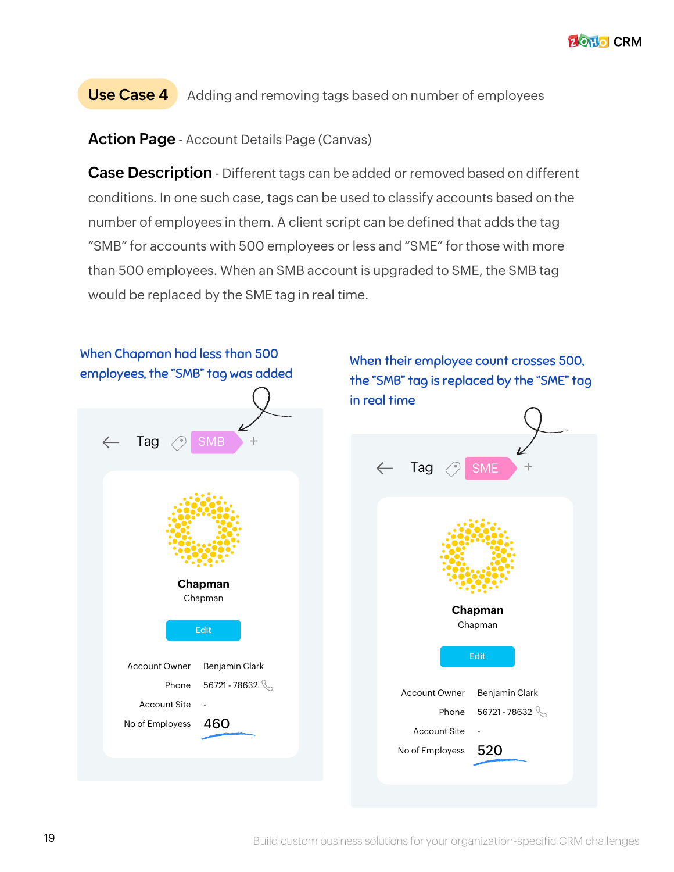#### **Use Case 4** Adding and removing tags based on number of employees

**Action Page** - Account Details Page (Canvas)

**Case Description** - Different tags can be added or removed based on different conditions. In one such case, tags can be used to classify accounts based on the number of employees in them. A client script can be defined that adds the tag "SMB" for accounts with 500 employees or less and "SME" for those with more than 500 employees. When an SMB account is upgraded to SME, the SMB tag would be replaced by the SME tag in real time.

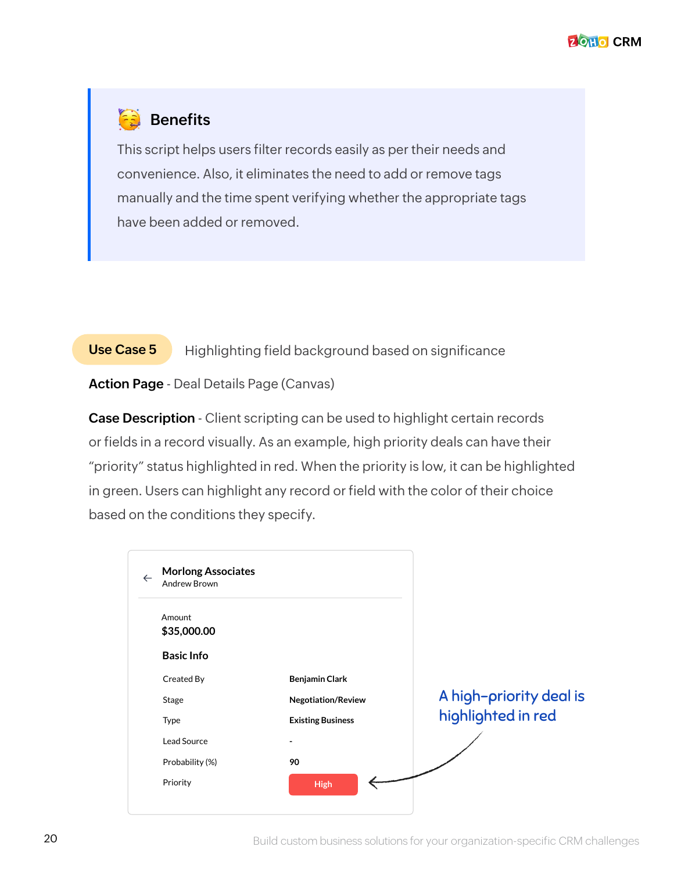#### **Benefits**

This script helps users filter records easily as per their needs and convenience. Also, it eliminates the need to add or remove tags manually and the time spent verifying whether the appropriate tags have been added or removed.

#### **Use Case 5**

Highlighting field background based on significance

**Action Page** - Deal Details Page (Canvas)

**Case Description** - Client scripting can be used to highlight certain records or fields in a record visually. As an example, high priority deals can have their "priority" status highlighted in red. When the priority is low, it can be highlighted in green. Users can highlight any record or field with the color of their choice based on the conditions they specify.

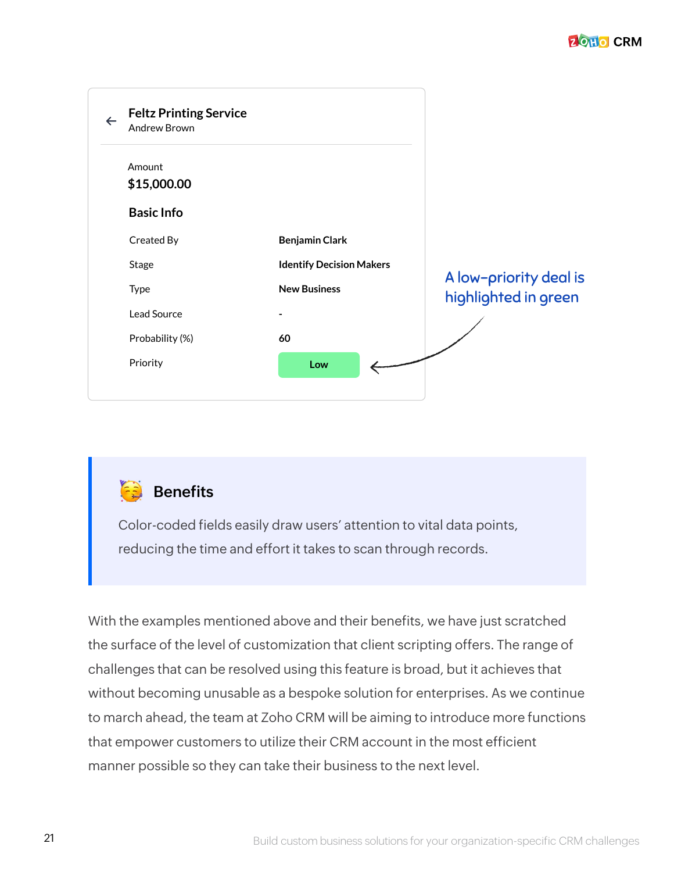| <b>Feltz Printing Service</b><br>$\leftarrow$<br><b>Andrew Brown</b> |                                 |                                                |
|----------------------------------------------------------------------|---------------------------------|------------------------------------------------|
| Amount<br>\$15,000.00                                                |                                 |                                                |
| <b>Basic Info</b>                                                    |                                 |                                                |
| Created By                                                           | <b>Benjamin Clark</b>           |                                                |
| Stage                                                                | <b>Identify Decision Makers</b> |                                                |
| Type                                                                 | <b>New Business</b>             | A low-priority deal is<br>highlighted in green |
| Lead Source                                                          |                                 |                                                |
| Probability (%)                                                      | 60                              |                                                |
| Priority                                                             | Low                             |                                                |

#### **Benefits**

Color-coded fields easily draw users' attention to vital data points, reducing the time and effort it takes to scan through records.

With the examples mentioned above and their benefits, we have just scratched the surface of the level of customization that client scripting offers. The range of challenges that can be resolved using this feature is broad, but it achieves that without becoming unusable as a bespoke solution for enterprises. As we continue to march ahead, the team at Zoho CRM will be aiming to introduce more functions that empower customers to utilize their CRM account in the most efficient manner possible so they can take their business to the next level.